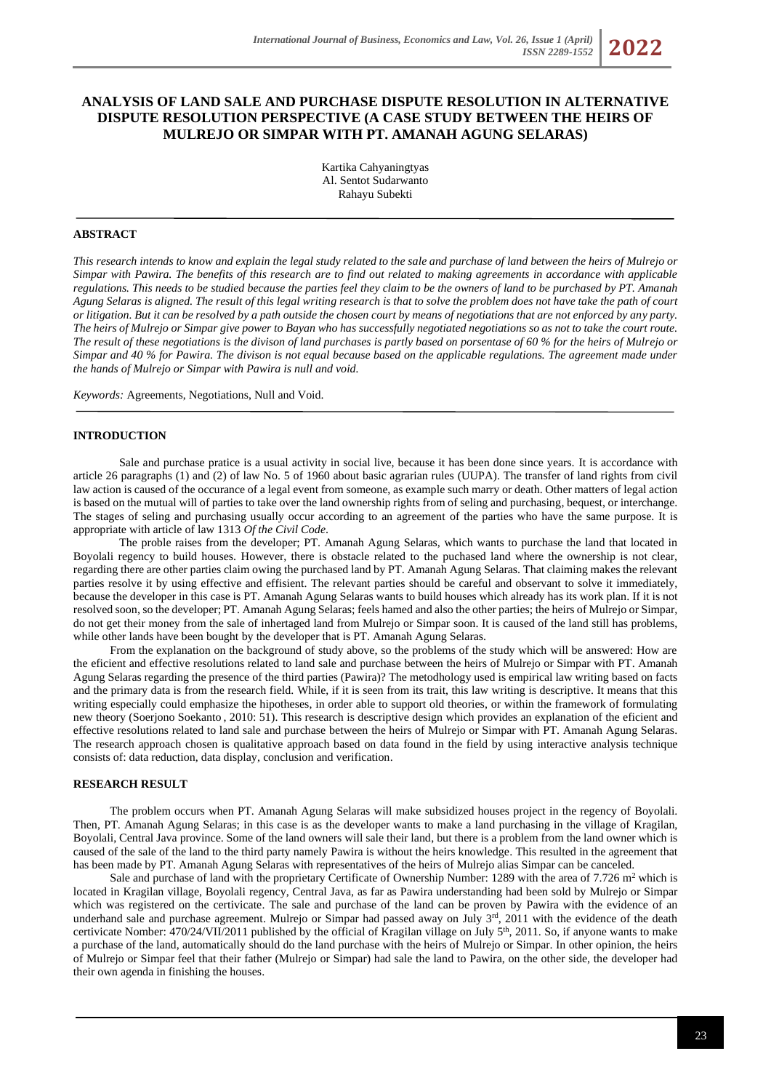# **ANALYSIS OF LAND SALE AND PURCHASE DISPUTE RESOLUTION IN ALTERNATIVE DISPUTE RESOLUTION PERSPECTIVE (A CASE STUDY BETWEEN THE HEIRS OF MULREJO OR SIMPAR WITH PT. AMANAH AGUNG SELARAS)**

Kartika Cahyaningtyas Al. Sentot Sudarwanto Rahayu Subekti

## **ABSTRACT**

*This research intends to know and explain the legal study related to the sale and purchase of land between the heirs of Mulrejo or Simpar with Pawira. The benefits of this research are to find out related to making agreements in accordance with applicable regulations. This needs to be studied because the parties feel they claim to be the owners of land to be purchased by PT. Amanah Agung Selaras is aligned. The result of this legal writing research is that to solve the problem does not have take the path of court or litigation. But it can be resolved by a path outside the chosen court by means of negotiations that are not enforced by any party. The heirs of Mulrejo or Simpar give power to Bayan who has successfully negotiated negotiations so as not to take the court route. The result of these negotiations is the divison of land purchases is partly based on porsentase of 60 % for the heirs of Mulrejo or Simpar and 40 % for Pawira. The divison is not equal because based on the applicable regulations. The agreement made under the hands of Mulrejo or Simpar with Pawira is null and void.*

*Keywords:* Agreements, Negotiations, Null and Void.

## **INTRODUCTION**

Sale and purchase pratice is a usual activity in social live, because it has been done since years. It is accordance with article 26 paragraphs (1) and (2) of law No. 5 of 1960 about basic agrarian rules (UUPA). The transfer of land rights from civil law action is caused of the occurance of a legal event from someone, as example such marry or death. Other matters of legal action is based on the mutual will of parties to take over the land ownership rights from of seling and purchasing, bequest, or interchange. The stages of seling and purchasing usually occur according to an agreement of the parties who have the same purpose. It is appropriate with article of law 1313 *Of the Civil Code*.

The proble raises from the developer; PT. Amanah Agung Selaras*,* which wants to purchase the land that located in Boyolali regency to build houses. However, there is obstacle related to the puchased land where the ownership is not clear, regarding there are other parties claim owing the purchased land by PT. Amanah Agung Selaras. That claiming makes the relevant parties resolve it by using effective and effisient. The relevant parties should be careful and observant to solve it immediately, because the developer in this case is PT. Amanah Agung Selaras wants to build houses which already has its work plan. If it is not resolved soon, so the developer; PT. Amanah Agung Selaras; feels hamed and also the other parties; the heirs of Mulrejo or Simpar, do not get their money from the sale of inhertaged land from Mulrejo or Simpar soon. It is caused of the land still has problems, while other lands have been bought by the developer that is PT. Amanah Agung Selaras.

From the explanation on the background of study above, so the problems of the study which will be answered: How are the eficient and effective resolutions related to land sale and purchase between the heirs of Mulrejo or Simpar with PT. Amanah Agung Selaras regarding the presence of the third parties (Pawira)? The metodhology used is empirical law writing based on facts and the primary data is from the research field. While, if it is seen from its trait, this law writing is descriptive. It means that this writing especially could emphasize the hipotheses, in order able to support old theories, or within the framework of formulating new theory (Soerjono Soekanto , 2010: 51). This research is descriptive design which provides an explanation of the eficient and effective resolutions related to land sale and purchase between the heirs of Mulrejo or Simpar with PT. Amanah Agung Selaras. The research approach chosen is qualitative approach based on data found in the field by using interactive analysis technique consists of: data reduction, data display, conclusion and verification.

## **RESEARCH RESULT**

The problem occurs when PT. Amanah Agung Selaras will make subsidized houses project in the regency of Boyolali. Then, PT. Amanah Agung Selaras; in this case is as the developer wants to make a land purchasing in the village of Kragilan, Boyolali, Central Java province. Some of the land owners will sale their land, but there is a problem from the land owner which is caused of the sale of the land to the third party namely Pawira is without the heirs knowledge. This resulted in the agreement that has been made by PT. Amanah Agung Selaras with representatives of the heirs of Mulrejo alias Simpar can be canceled.

Sale and purchase of land with the proprietary Certificate of Ownership Number: 1289 with the area of  $7.726$  m<sup>2</sup> which is located in Kragilan village, Boyolali regency, Central Java, as far as Pawira understanding had been sold by Mulrejo or Simpar which was registered on the certivicate. The sale and purchase of the land can be proven by Pawira with the evidence of an underhand sale and purchase agreement. Mulrejo or Simpar had passed away on July  $3<sup>rd</sup>$ , 2011 with the evidence of the death certivicate Nomber: 470/24/VII/2011 published by the official of Kragilan village on July 5<sup>th</sup>, 2011. So, if anyone wants to make a purchase of the land, automatically should do the land purchase with the heirs of Mulrejo or Simpar. In other opinion, the heirs of Mulrejo or Simpar feel that their father (Mulrejo or Simpar) had sale the land to Pawira, on the other side, the developer had their own agenda in finishing the houses.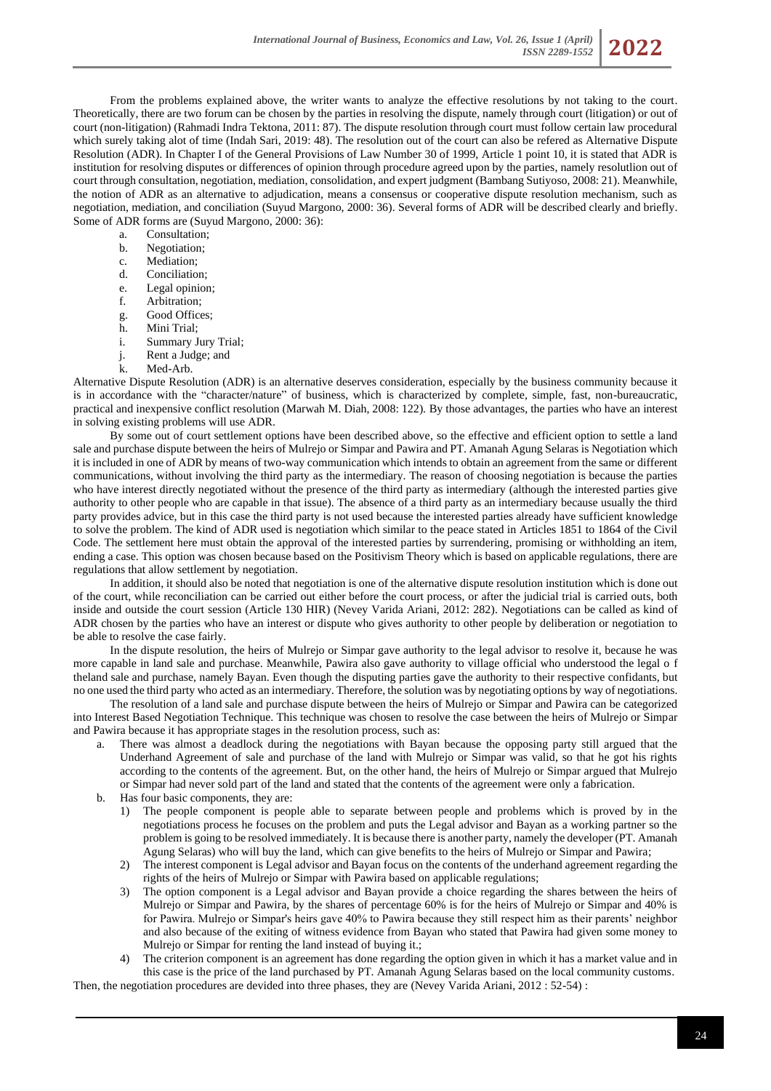From the problems explained above, the writer wants to analyze the effective resolutions by not taking to the court. Theoretically, there are two forum can be chosen by the parties in resolving the dispute, namely through court (litigation) or out of court (non-litigation) (Rahmadi Indra Tektona, 2011: 87). The dispute resolution through court must follow certain law procedural which surely taking alot of time (Indah Sari, 2019: 48). The resolution out of the court can also be refered as Alternative Dispute Resolution (ADR). In Chapter I of the General Provisions of Law Number 30 of 1999, Article 1 point 10, it is stated that ADR is institution for resolving disputes or differences of opinion through procedure agreed upon by the parties, namely resolutlion out of court through consultation, negotiation, mediation, consolidation, and expert judgment (Bambang Sutiyoso, 2008: 21). Meanwhile, the notion of ADR as an alternative to adjudication, means a consensus or cooperative dispute resolution mechanism, such as negotiation, mediation, and conciliation (Suyud Margono, 2000: 36). Several forms of ADR will be described clearly and briefly. Some of ADR forms are (Suyud Margono, 2000: 36):

a. Consultation;

- b. Negotiation;
- c. Mediation;
- d. Conciliation;
- e. Legal opinion;
- f. Arbitration;
- g. Good Offices;
- h. Mini Trial;
- i. Summary Jury Trial;
- j. Rent a Judge; and
- Med-Arb.

Alternative Dispute Resolution (ADR) is an alternative deserves consideration, especially by the business community because it is in accordance with the "character/nature" of business, which is characterized by complete, simple, fast, non-bureaucratic, practical and inexpensive conflict resolution (Marwah M. Diah, 2008: 122). By those advantages, the parties who have an interest in solving existing problems will use ADR.

By some out of court settlement options have been described above, so the effective and efficient option to settle a land sale and purchase dispute between the heirs of Mulrejo or Simpar and Pawira and PT. Amanah Agung Selaras is Negotiation which it is included in one of ADR by means of two-way communication which intends to obtain an agreement from the same or different communications, without involving the third party as the intermediary. The reason of choosing negotiation is because the parties who have interest directly negotiated without the presence of the third party as intermediary (although the interested parties give authority to other people who are capable in that issue). The absence of a third party as an intermediary because usually the third party provides advice, but in this case the third party is not used because the interested parties already have sufficient knowledge to solve the problem. The kind of ADR used is negotiation which similar to the peace stated in Articles 1851 to 1864 of the Civil Code. The settlement here must obtain the approval of the interested parties by surrendering, promising or withholding an item, ending a case. This option was chosen because based on the Positivism Theory which is based on applicable regulations, there are regulations that allow settlement by negotiation.

In addition, it should also be noted that negotiation is one of the alternative dispute resolution institution which is done out of the court, while reconciliation can be carried out either before the court process, or after the judicial trial is carried outs, both inside and outside the court session (Article 130 HIR) (Nevey Varida Ariani, 2012: 282). Negotiations can be called as kind of ADR chosen by the parties who have an interest or dispute who gives authority to other people by deliberation or negotiation to be able to resolve the case fairly.

In the dispute resolution, the heirs of Mulrejo or Simpar gave authority to the legal advisor to resolve it, because he was more capable in land sale and purchase. Meanwhile, Pawira also gave authority to village official who understood the legal o f theland sale and purchase, namely Bayan. Even though the disputing parties gave the authority to their respective confidants, but no one used the third party who acted as an intermediary. Therefore, the solution was by negotiating options by way of negotiations.

The resolution of a land sale and purchase dispute between the heirs of Mulrejo or Simpar and Pawira can be categorized into Interest Based Negotiation Technique. This technique was chosen to resolve the case between the heirs of Mulrejo or Simpar and Pawira because it has appropriate stages in the resolution process, such as:

- a. There was almost a deadlock during the negotiations with Bayan because the opposing party still argued that the Underhand Agreement of sale and purchase of the land with Mulrejo or Simpar was valid, so that he got his rights according to the contents of the agreement. But, on the other hand, the heirs of Mulrejo or Simpar argued that Mulrejo or Simpar had never sold part of the land and stated that the contents of the agreement were only a fabrication.
- b. Has four basic components, they are:
	- 1) The people component is people able to separate between people and problems which is proved by in the negotiations process he focuses on the problem and puts the Legal advisor and Bayan as a working partner so the problem is going to be resolved immediately. It is because there is another party, namely the developer (PT. Amanah Agung Selaras) who will buy the land, which can give benefits to the heirs of Mulrejo or Simpar and Pawira;
	- 2) The interest component is Legal advisor and Bayan focus on the contents of the underhand agreement regarding the rights of the heirs of Mulrejo or Simpar with Pawira based on applicable regulations;
	- 3) The option component is a Legal advisor and Bayan provide a choice regarding the shares between the heirs of Mulrejo or Simpar and Pawira, by the shares of percentage 60% is for the heirs of Mulrejo or Simpar and 40% is for Pawira. Mulrejo or Simpar's heirs gave 40% to Pawira because they still respect him as their parents' neighbor and also because of the exiting of witness evidence from Bayan who stated that Pawira had given some money to Mulrejo or Simpar for renting the land instead of buying it.;
- 4) The criterion component is an agreement has done regarding the option given in which it has a market value and in this case is the price of the land purchased by PT. Amanah Agung Selaras based on the local community customs. Then, the negotiation procedures are devided into three phases, they are (Nevey Varida Ariani, 2012 : 52-54) :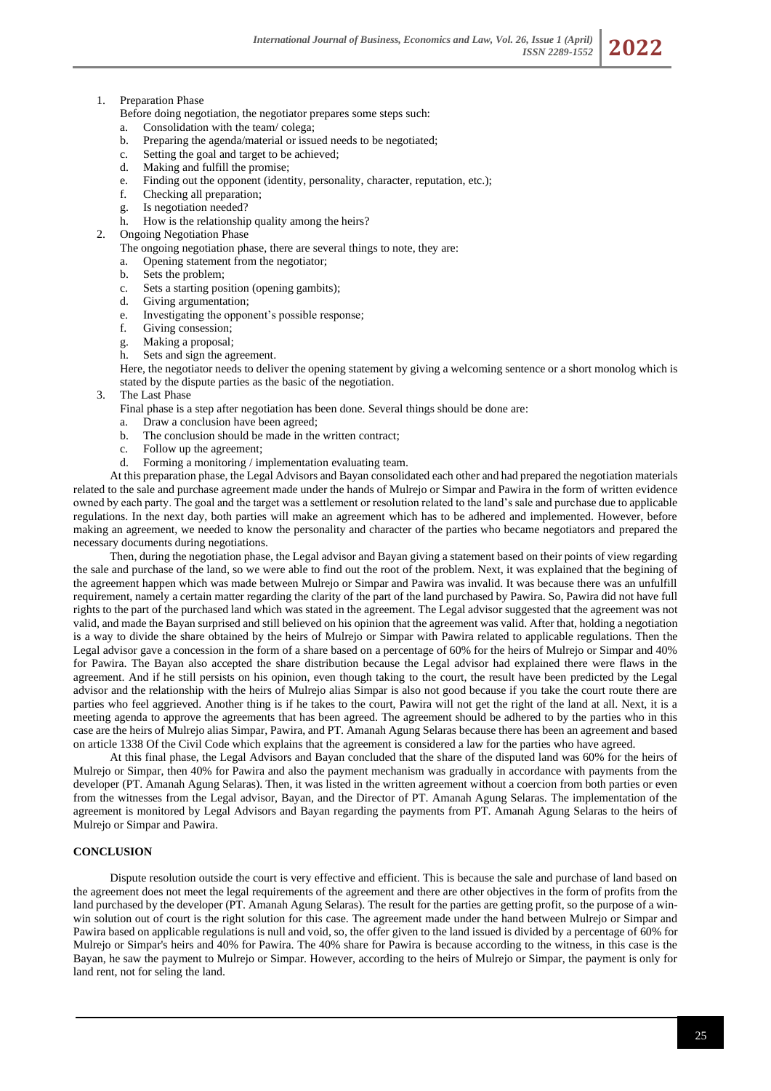Before doing negotiation, the negotiator prepares some steps such:

- a. Consolidation with the team/ colega;
- b. Preparing the agenda/material or issued needs to be negotiated;
- c. Setting the goal and target to be achieved;
- d. Making and fulfill the promise;
- e. Finding out the opponent (identity, personality, character, reputation, etc.);
- f. Checking all preparation;
- g. Is negotiation needed?
- h. How is the relationship quality among the heirs?
- 2. Ongoing Negotiation Phase
	- The ongoing negotiation phase, there are several things to note, they are:
	- a. Opening statement from the negotiator;
	- b. Sets the problem;
	- c. Sets a starting position (opening gambits);
	- d. Giving argumentation;
	- e. Investigating the opponent's possible response;
	- f. Giving consession;
	- g. Making a proposal;
	- h. Sets and sign the agreement.

Here, the negotiator needs to deliver the opening statement by giving a welcoming sentence or a short monolog which is stated by the dispute parties as the basic of the negotiation.

3. The Last Phase

Final phase is a step after negotiation has been done. Several things should be done are:

- a. Draw a conclusion have been agreed;
- b. The conclusion should be made in the written contract;
- c. Follow up the agreement;
- d. Forming a monitoring / implementation evaluating team.

At this preparation phase, the Legal Advisors and Bayan consolidated each other and had prepared the negotiation materials related to the sale and purchase agreement made under the hands of Mulrejo or Simpar and Pawira in the form of written evidence owned by each party. The goal and the target was a settlement or resolution related to the land's sale and purchase due to applicable regulations. In the next day, both parties will make an agreement which has to be adhered and implemented. However, before making an agreement, we needed to know the personality and character of the parties who became negotiators and prepared the necessary documents during negotiations.

Then, during the negotiation phase, the Legal advisor and Bayan giving a statement based on their points of view regarding the sale and purchase of the land, so we were able to find out the root of the problem. Next, it was explained that the begining of the agreement happen which was made between Mulrejo or Simpar and Pawira was invalid. It was because there was an unfulfill requirement, namely a certain matter regarding the clarity of the part of the land purchased by Pawira. So, Pawira did not have full rights to the part of the purchased land which was stated in the agreement. The Legal advisor suggested that the agreement was not valid, and made the Bayan surprised and still believed on his opinion that the agreement was valid. After that, holding a negotiation is a way to divide the share obtained by the heirs of Mulrejo or Simpar with Pawira related to applicable regulations. Then the Legal advisor gave a concession in the form of a share based on a percentage of 60% for the heirs of Mulrejo or Simpar and 40% for Pawira. The Bayan also accepted the share distribution because the Legal advisor had explained there were flaws in the agreement. And if he still persists on his opinion, even though taking to the court, the result have been predicted by the Legal advisor and the relationship with the heirs of Mulrejo alias Simpar is also not good because if you take the court route there are parties who feel aggrieved. Another thing is if he takes to the court, Pawira will not get the right of the land at all. Next, it is a meeting agenda to approve the agreements that has been agreed. The agreement should be adhered to by the parties who in this case are the heirs of Mulrejo alias Simpar, Pawira, and PT. Amanah Agung Selaras because there has been an agreement and based on article 1338 Of the Civil Code which explains that the agreement is considered a law for the parties who have agreed.

At this final phase, the Legal Advisors and Bayan concluded that the share of the disputed land was 60% for the heirs of Mulrejo or Simpar, then 40% for Pawira and also the payment mechanism was gradually in accordance with payments from the developer (PT. Amanah Agung Selaras). Then, it was listed in the written agreement without a coercion from both parties or even from the witnesses from the Legal advisor, Bayan, and the Director of PT. Amanah Agung Selaras. The implementation of the agreement is monitored by Legal Advisors and Bayan regarding the payments from PT. Amanah Agung Selaras to the heirs of Mulrejo or Simpar and Pawira.

## **CONCLUSION**

Dispute resolution outside the court is very effective and efficient. This is because the sale and purchase of land based on the agreement does not meet the legal requirements of the agreement and there are other objectives in the form of profits from the land purchased by the developer (PT. Amanah Agung Selaras). The result for the parties are getting profit, so the purpose of a winwin solution out of court is the right solution for this case. The agreement made under the hand between Mulrejo or Simpar and Pawira based on applicable regulations is null and void, so, the offer given to the land issued is divided by a percentage of 60% for Mulrejo or Simpar's heirs and 40% for Pawira. The 40% share for Pawira is because according to the witness, in this case is the Bayan, he saw the payment to Mulrejo or Simpar. However, according to the heirs of Mulrejo or Simpar, the payment is only for land rent, not for seling the land.